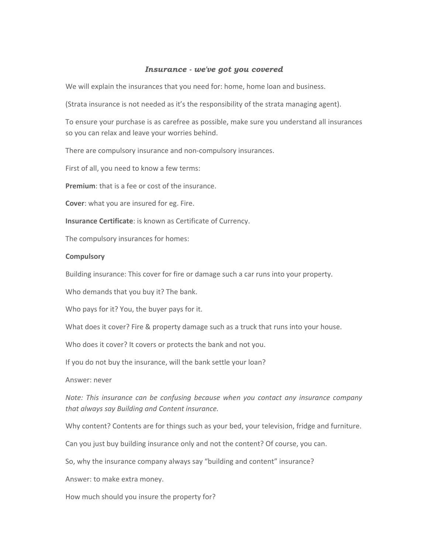## *Insurance - we've got you covered*

We will explain the insurances that you need for: home, home loan and business.

(Strata insurance is not needed as it's the responsibility of the strata managing agent).

To ensure your purchase is as carefree as possible, make sure you understand all insurances so you can relax and leave your worries behind.

There are compulsory insurance and non‐compulsory insurances.

First of all, you need to know a few terms:

**Premium**: that is a fee or cost of the insurance.

**Cover**: what you are insured for eg. Fire.

**Insurance Certificate**: is known as Certificate of Currency.

The compulsory insurances for homes:

#### **Compulsory**

Building insurance: This cover for fire or damage such a car runs into your property.

Who demands that you buy it? The bank.

Who pays for it? You, the buyer pays for it.

What does it cover? Fire & property damage such as a truck that runs into your house.

Who does it cover? It covers or protects the bank and not you.

If you do not buy the insurance, will the bank settle your loan?

Answer: never

*Note: This insurance can be confusing because when you contact any insurance company that always say Building and Content insurance.*

Why content? Contents are for things such as your bed, your television, fridge and furniture.

Can you just buy building insurance only and not the content? Of course, you can.

So, why the insurance company always say "building and content" insurance?

Answer: to make extra money.

How much should you insure the property for?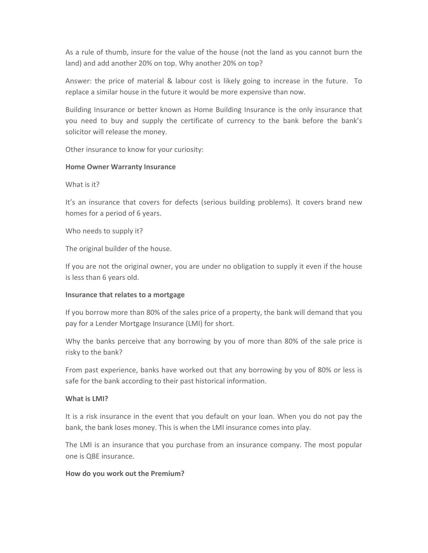As a rule of thumb, insure for the value of the house (not the land as you cannot burn the land) and add another 20% on top. Why another 20% on top?

Answer: the price of material & labour cost is likely going to increase in the future. To replace a similar house in the future it would be more expensive than now.

Building Insurance or better known as Home Building Insurance is the only insurance that you need to buy and supply the certificate of currency to the bank before the bank's solicitor will release the money.

Other insurance to know for your curiosity:

### **Home Owner Warranty Insurance**

What is it?

It's an insurance that covers for defects (serious building problems). It covers brand new homes for a period of 6 years.

Who needs to supply it?

The original builder of the house.

If you are not the original owner, you are under no obligation to supply it even if the house is less than 6 years old.

#### **Insurance that relates to a mortgage**

If you borrow more than 80% of the sales price of a property, the bank will demand that you pay for a Lender Mortgage Insurance (LMI) for short.

Why the banks perceive that any borrowing by you of more than 80% of the sale price is risky to the bank?

From past experience, banks have worked out that any borrowing by you of 80% or less is safe for the bank according to their past historical information.

#### **What is LMI?**

It is a risk insurance in the event that you default on your loan. When you do not pay the bank, the bank loses money. This is when the LMI insurance comes into play.

The LMI is an insurance that you purchase from an insurance company. The most popular one is QBE insurance.

#### **How do you work out the Premium?**